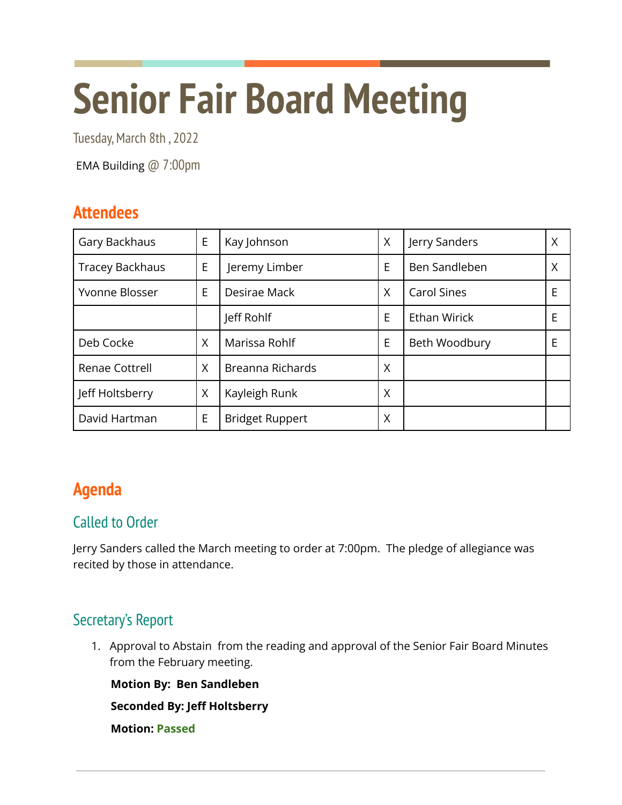# **Senior Fair Board Meeting**

Tuesday, March 8th, 2022

EMA Building @ 7:00pm

# **Attendees**

| Gary Backhaus          | E | Kay Johnson            | X | Jerry Sanders       | Χ |
|------------------------|---|------------------------|---|---------------------|---|
| <b>Tracey Backhaus</b> | E | Jeremy Limber          | E | Ben Sandleben       | Χ |
| Yvonne Blosser         | E | Desirae Mack           | X | <b>Carol Sines</b>  | E |
|                        |   | Jeff Rohlf             | E | <b>Ethan Wirick</b> | E |
| Deb Cocke              | X | Marissa Rohlf          | E | Beth Woodbury       | E |
| Renae Cottrell         | X | Breanna Richards       | X |                     |   |
| Jeff Holtsberry        | X | Kayleigh Runk          | X |                     |   |
| David Hartman          | E | <b>Bridget Ruppert</b> | Χ |                     |   |

# **Agenda**

## Called to Order

Jerry Sanders called the March meeting to order at 7:00pm. The pledge of allegiance was recited by those in attendance.

# Secretary's Report

1. Approval to Abstain from the reading and approval of the Senior Fair Board Minutes from the February meeting.

**Motion By: Ben Sandleben**

**Seconded By: Jeff Holtsberry**

**Motion: Passed**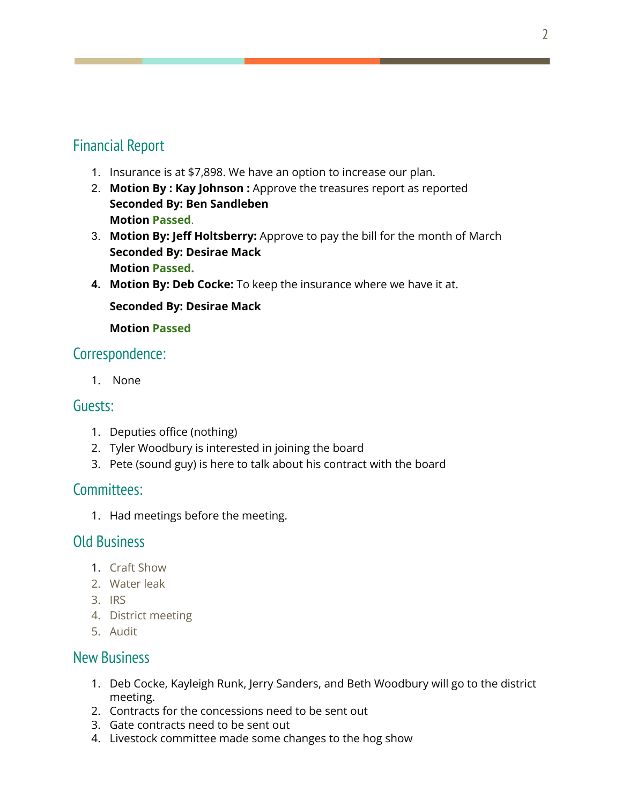## Financial Report

- 1. Insurance is at \$7,898. We have an option to increase our plan.
- 2. **Motion By : Kay Johnson :** Approve the treasures report as reported **Seconded By: Ben Sandleben Motion Passed**.
- 3. **Motion By: Jeff Holtsberry:** Approve to pay the bill for the month of March **Seconded By: Desirae Mack Motion Passed.**
- **4. Motion By: Deb Cocke:** To keep the insurance where we have it at.

#### **Seconded By: Desirae Mack**

**Motion Passed**

## Correspondence:

1. None

## Guests:

- 1. Deputies office (nothing)
- 2. Tyler Woodbury is interested in joining the board
- 3. Pete (sound guy) is here to talk about his contract with the board

### Committees:

1. Had meetings before the meeting.

## Old Business

- 1. Craft Show
- 2. Water leak
- 3. IRS
- 4. District meeting
- 5. Audit

## New Business

- 1. Deb Cocke, Kayleigh Runk, Jerry Sanders, and Beth Woodbury will go to the district meeting.
- 2. Contracts for the concessions need to be sent out
- 3. Gate contracts need to be sent out
- 4. Livestock committee made some changes to the hog show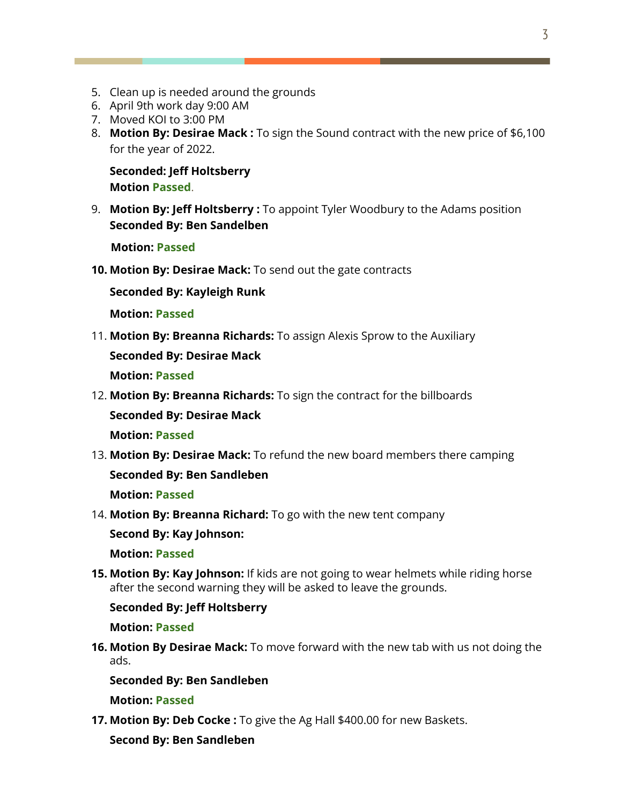- 5. Clean up is needed around the grounds
- 6. April 9th work day 9:00 AM
- 7. Moved KOI to 3:00 PM
- 8. **Motion By: Desirae Mack :** To sign the Sound contract with the new price of \$6,100 for the year of 2022.

**Seconded: Jeff Holtsberry Motion Passed**.

9. **Motion By: Jeff Holtsberry :** To appoint Tyler Woodbury to the Adams position **Seconded By: Ben Sandelben**

**Motion: Passed**

**10. Motion By: Desirae Mack:** To send out the gate contracts

**Seconded By: Kayleigh Runk**

**Motion: Passed**

11. **Motion By: Breanna Richards:** To assign Alexis Sprow to the Auxiliary

**Seconded By: Desirae Mack**

**Motion: Passed**

12. **Motion By: Breanna Richards:** To sign the contract for the billboards

**Seconded By: Desirae Mack**

**Motion: Passed**

13. **Motion By: Desirae Mack:** To refund the new board members there camping

**Seconded By: Ben Sandleben**

**Motion: Passed**

14. **Motion By: Breanna Richard:** To go with the new tent company

**Second By: Kay Johnson:**

**Motion: Passed**

**15. Motion By: Kay Johnson:** If kids are not going to wear helmets while riding horse after the second warning they will be asked to leave the grounds.

#### **Seconded By: Jeff Holtsberry**

**Motion: Passed**

**16. Motion By Desirae Mack:** To move forward with the new tab with us not doing the ads.

**Seconded By: Ben Sandleben**

**Motion: Passed**

**17. Motion By: Deb Cocke :** To give the Ag Hall \$400.00 for new Baskets.

**Second By: Ben Sandleben**